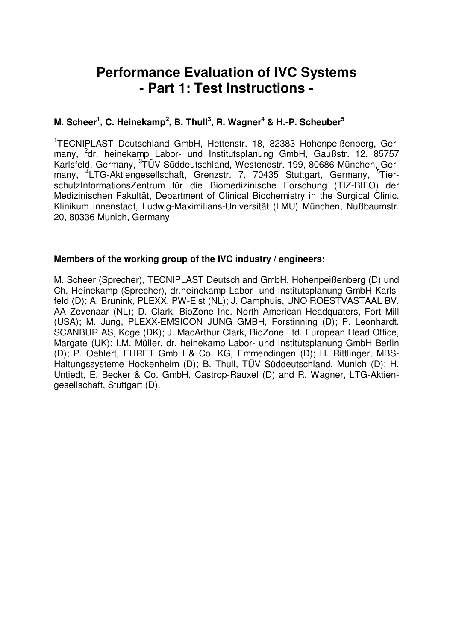# **Performance Evaluation of IVC Systems - Part 1: Test Instructions -**

# **M. Scheer 1 , C. Heinekamp 2 , B. Thull 3 , R. Wagner <sup>4</sup> & H.-P. Scheuber 5**

<sup>1</sup>TECNIPLAST Deutschland GmbH, Hettenstr. 18, 82383 Hohenpeißenberg, Germany, <sup>2</sup>dr. heinekamp Labor- und Institutsplanung GmbH, Gaußstr. 12, 85757 Karlsfeld, Germany, <sup>3</sup>TÜV Süddeutschland, Westendstr. 199, 80686 München, Germany, <sup>4</sup>LTG-Aktiengesellschaft, Grenzstr. 7, 70435 Stuttgart, Germany, <sup>5</sup>TierschutzInformationsZentrum für die Biomedizinische Forschung (TIZ-BIFO) der Medizinischen Fakultät, Department of Clinical Biochemistry in the Surgical Clinic, Klinikum Innenstadt, Ludwig-Maximilians-Universität (LMU) München, Nußbaumstr. 20, 80336 Munich, Germany

### **Members of the working group of the IVC industry / engineers:**

M. Scheer (Sprecher), TECNIPLAST Deutschland GmbH, Hohenpeißenberg (D) und Ch. Heinekamp (Sprecher), dr.heinekamp Labor- und Institutsplanung GmbH Karlsfeld (D); A. Brunink, PLEXX, PW-Elst (NL); J. Camphuis, UNO ROESTVASTAAL BV, AA Zevenaar (NL); D. Clark, BioZone Inc. North American Headquaters, Fort Mill (USA); M. Jung, PLEXX-EMSICON JUNG GMBH, Forstinning (D); P. Leonhardt, SCANBUR AS, Koge (DK); J. MacArthur Clark, BioZone Ltd. European Head Office, Margate (UK); I.M. Müller, dr. heinekamp Labor- und Institutsplanung GmbH Berlin (D); P. Oehlert, EHRET GmbH & Co. KG, Emmendingen (D); H. Rittlinger, MBS-Haltungssysteme Hockenheim (D); B. Thull, TÜV Süddeutschland, Munich (D); H. Untiedt, E. Becker & Co. GmbH, Castrop-Rauxel (D) and R. Wagner, LTG-Aktiengesellschaft, Stuttgart (D).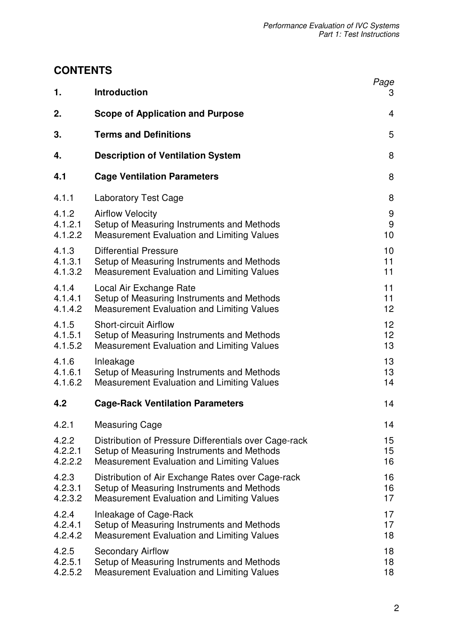# **CONTENTS**

| 1.      | <b>Introduction</b>                                   | Page<br>3 |
|---------|-------------------------------------------------------|-----------|
| 2.      | <b>Scope of Application and Purpose</b>               | 4         |
| 3.      | <b>Terms and Definitions</b>                          | 5         |
| 4.      | <b>Description of Ventilation System</b>              | 8         |
| 4.1     | <b>Cage Ventilation Parameters</b>                    | 8         |
| 4.1.1   | <b>Laboratory Test Cage</b>                           | 8         |
| 4.1.2   | <b>Airflow Velocity</b>                               | 9         |
| 4.1.2.1 | Setup of Measuring Instruments and Methods            | $9$       |
| 4.1.2.2 | <b>Measurement Evaluation and Limiting Values</b>     | 10        |
| 4.1.3   | <b>Differential Pressure</b>                          | 10        |
| 4.1.3.1 | Setup of Measuring Instruments and Methods            | 11        |
| 4.1.3.2 | <b>Measurement Evaluation and Limiting Values</b>     | 11        |
| 4.1.4   | Local Air Exchange Rate                               | 11        |
| 4.1.4.1 | Setup of Measuring Instruments and Methods            | 11        |
| 4.1.4.2 | <b>Measurement Evaluation and Limiting Values</b>     | 12        |
| 4.1.5   | <b>Short-circuit Airflow</b>                          | 12        |
| 4.1.5.1 | Setup of Measuring Instruments and Methods            | 12        |
| 4.1.5.2 | <b>Measurement Evaluation and Limiting Values</b>     | 13        |
| 4.1.6   | Inleakage                                             | 13        |
| 4.1.6.1 | Setup of Measuring Instruments and Methods            | 13        |
| 4.1.6.2 | Measurement Evaluation and Limiting Values            | 14        |
| 4.2     | <b>Cage-Rack Ventilation Parameters</b>               | 14        |
| 4.2.1   | <b>Measuring Cage</b>                                 | 14        |
| 4.2.2   | Distribution of Pressure Differentials over Cage-rack | 15        |
| 4.2.2.1 | Setup of Measuring Instruments and Methods            | 15        |
| 4.2.2.2 | <b>Measurement Evaluation and Limiting Values</b>     | 16        |
| 4.2.3   | Distribution of Air Exchange Rates over Cage-rack     | 16        |
| 4.2.3.1 | Setup of Measuring Instruments and Methods            | 16        |
| 4.2.3.2 | <b>Measurement Evaluation and Limiting Values</b>     | 17        |
| 4.2.4   | Inleakage of Cage-Rack                                | 17        |
| 4.2.4.1 | Setup of Measuring Instruments and Methods            | 17        |
| 4.2.4.2 | <b>Measurement Evaluation and Limiting Values</b>     | 18        |
| 4.2.5   | <b>Secondary Airflow</b>                              | 18        |
| 4.2.5.1 | Setup of Measuring Instruments and Methods            | 18        |
| 4.2.5.2 | <b>Measurement Evaluation and Limiting Values</b>     | 18        |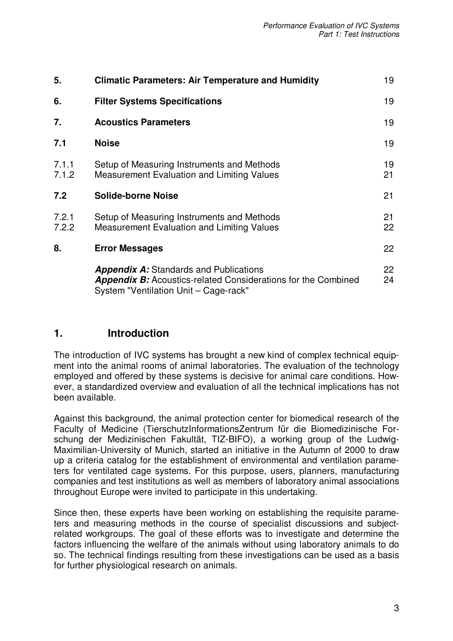| <b>Climatic Parameters: Air Temperature and Humidity</b>                                        | 19                                                                   |
|-------------------------------------------------------------------------------------------------|----------------------------------------------------------------------|
| <b>Filter Systems Specifications</b>                                                            | 19                                                                   |
| <b>Acoustics Parameters</b>                                                                     | 19                                                                   |
| <b>Noise</b>                                                                                    | 19                                                                   |
| Setup of Measuring Instruments and Methods<br>Measurement Evaluation and Limiting Values        | 19<br>21                                                             |
| <b>Solide-borne Noise</b>                                                                       | 21                                                                   |
| Setup of Measuring Instruments and Methods<br><b>Measurement Evaluation and Limiting Values</b> | 21<br>22                                                             |
| <b>Error Messages</b>                                                                           | 22                                                                   |
| <b>Appendix A:</b> Standards and Publications                                                   | 22<br>24                                                             |
|                                                                                                 | <b>Appendix B:</b> Acoustics-related Considerations for the Combined |

# **1. Introduction**

The introduction of IVC systems has brought a new kind of complex technical equipment into the animal rooms of animal laboratories. The evaluation of the technology employed and offered by these systems is decisive for animal care conditions. However, a standardized overview and evaluation of all the technical implications has not been available.

Against this background, the animal protection center for biomedical research of the Faculty of Medicine (TierschutzInformationsZentrum für die Biomedizinische Forschung der Medizinischen Fakultät, TIZ-BIFO), a working group of the Ludwig-Maximilian-University of Munich, started an initiative in the Autumn of 2000 to draw up a criteria catalog for the establishment of environmental and ventilation parameters for ventilated cage systems. For this purpose, users, planners, manufacturing companies and test institutions as well as members of laboratory animal associations throughout Europe were invited to participate in this undertaking.

Since then, these experts have been working on establishing the requisite parameters and measuring methods in the course of specialist discussions and subjectrelated workgroups. The goal of these efforts was to investigate and determine the factors influencing the welfare of the animals without using laboratory animals to do so. The technical findings resulting from these investigations can be used as a basis for further physiological research on animals.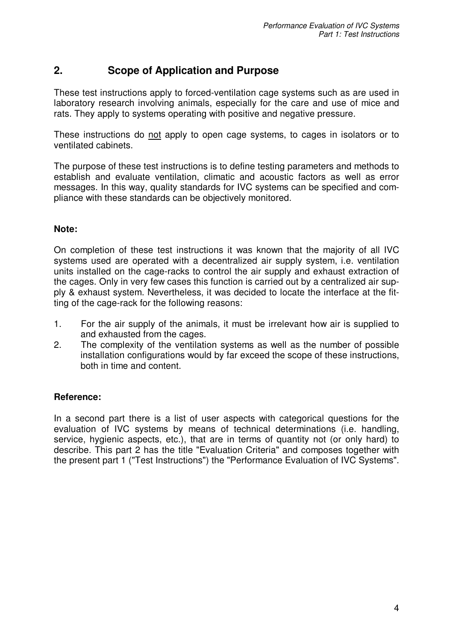# **2. Scope of Application and Purpose**

These test instructions apply to forced-ventilation cage systems such as are used in laboratory research involving animals, especially for the care and use of mice and rats. They apply to systems operating with positive and negative pressure.

These instructions do not apply to open cage systems, to cages in isolators or to ventilated cabinets.

The purpose of these test instructions is to define testing parameters and methods to establish and evaluate ventilation, climatic and acoustic factors as well as error messages. In this way, quality standards for IVC systems can be specified and compliance with these standards can be objectively monitored.

## **Note:**

On completion of these test instructions it was known that the majority of all IVC systems used are operated with a decentralized air supply system, i.e. ventilation units installed on the cage-racks to control the air supply and exhaust extraction of the cages. Only in very few cases this function is carried out by a centralized air supply & exhaust system. Nevertheless, it was decided to locate the interface at the fitting of the cage-rack for the following reasons:

- 1. For the air supply of the animals, it must be irrelevant how air is supplied to and exhausted from the cages.
- 2. The complexity of the ventilation systems as well as the number of possible installation configurations would by far exceed the scope of these instructions, both in time and content.

# **Reference:**

In a second part there is a list of user aspects with categorical questions for the evaluation of IVC systems by means of technical determinations (i.e. handling, service, hygienic aspects, etc.), that are in terms of quantity not (or only hard) to describe. This part 2 has the title "Evaluation Criteria" and composes together with the present part 1 ("Test Instructions") the "Performance Evaluation of IVC Systems".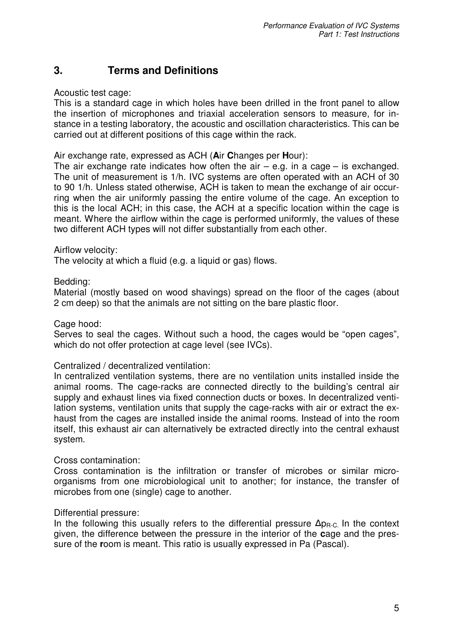# **3. Terms and Definitions**

Acoustic test cage:

This is a standard cage in which holes have been drilled in the front panel to allow the insertion of microphones and triaxial acceleration sensors to measure, for instance in a testing laboratory, the acoustic and oscillation characteristics. This can be carried out at different positions of this cage within the rack.

Air exchange rate, expressed as ACH (**A**ir **C**hanges per **H**our):

The air exchange rate indicates how often the air  $-$  e.g. in a cage  $-$  is exchanged. The unit of measurement is 1/h. IVC systems are often operated with an ACH of 30 to 90 1/h. Unless stated otherwise, ACH is taken to mean the exchange of air occurring when the air uniformly passing the entire volume of the cage. An exception to this is the local ACH; in this case, the ACH at a specific location within the cage is meant. Where the airflow within the cage is performed uniformly, the values of these two different ACH types will not differ substantially from each other.

### Airflow velocity:

The velocity at which a fluid (e.g. a liquid or gas) flows.

### Bedding:

Material (mostly based on wood shavings) spread on the floor of the cages (about 2 cm deep) so that the animals are not sitting on the bare plastic floor.

### Cage hood:

Serves to seal the cages. Without such a hood, the cages would be "open cages", which do not offer protection at cage level (see IVCs).

### Centralized / decentralized ventilation:

In centralized ventilation systems, there are no ventilation units installed inside the animal rooms. The cage-racks are connected directly to the building's central air supply and exhaust lines via fixed connection ducts or boxes. In decentralized ventilation systems, ventilation units that supply the cage-racks with air or extract the exhaust from the cages are installed inside the animal rooms. Instead of into the room itself, this exhaust air can alternatively be extracted directly into the central exhaust system.

### Cross contamination:

Cross contamination is the infiltration or transfer of microbes or similar microorganisms from one microbiological unit to another; for instance, the transfer of microbes from one (single) cage to another.

### Differential pressure:

In the following this usually refers to the differential pressure  $\Delta p_{R-C}$  In the context given, the difference between the pressure in the interior of the **c**age and the pressure of the **r**oom is meant. This ratio is usually expressed in Pa (Pascal).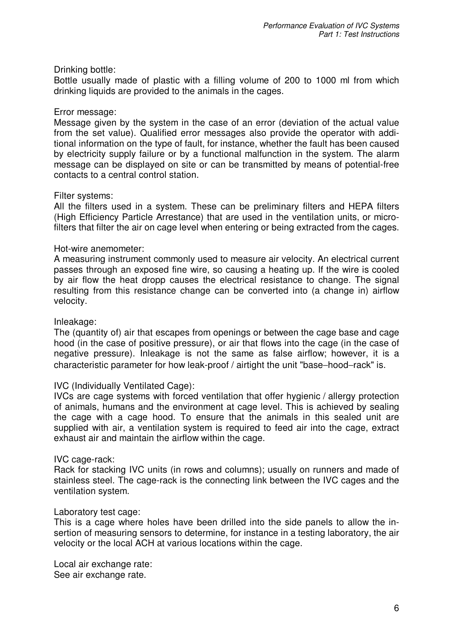### Drinking bottle:

Bottle usually made of plastic with a filling volume of 200 to 1000 ml from which drinking liquids are provided to the animals in the cages.

### Error message:

Message given by the system in the case of an error (deviation of the actual value from the set value). Qualified error messages also provide the operator with additional information on the type of fault, for instance, whether the fault has been caused by electricity supply failure or by a functional malfunction in the system. The alarm message can be displayed on site or can be transmitted by means of potential-free contacts to a central control station.

#### Filter systems:

All the filters used in a system. These can be preliminary filters and HEPA filters (High Efficiency Particle Arrestance) that are used in the ventilation units, or microfilters that filter the air on cage level when entering or being extracted from the cages.

#### Hot-wire anemometer:

A measuring instrument commonly used to measure air velocity. An electrical current passes through an exposed fine wire, so causing a heating up. If the wire is cooled by air flow the heat dropp causes the electrical resistance to change. The signal resulting from this resistance change can be converted into (a change in) airflow velocity.

#### Inleakage:

The (quantity of) air that escapes from openings or between the cage base and cage hood (in the case of positive pressure), or air that flows into the cage (in the case of negative pressure). Inleakage is not the same as false airflow; however, it is a characteristic parameter for how leak-proof / airtight the unit "base−hood−rack" is.

### IVC (Individually Ventilated Cage):

IVCs are cage systems with forced ventilation that offer hygienic / allergy protection of animals, humans and the environment at cage level. This is achieved by sealing the cage with a cage hood. To ensure that the animals in this sealed unit are supplied with air, a ventilation system is required to feed air into the cage, extract exhaust air and maintain the airflow within the cage.

### IVC cage-rack:

Rack for stacking IVC units (in rows and columns); usually on runners and made of stainless steel. The cage-rack is the connecting link between the IVC cages and the ventilation system.

#### Laboratory test cage:

This is a cage where holes have been drilled into the side panels to allow the insertion of measuring sensors to determine, for instance in a testing laboratory, the air velocity or the local ACH at various locations within the cage.

Local air exchange rate: See air exchange rate.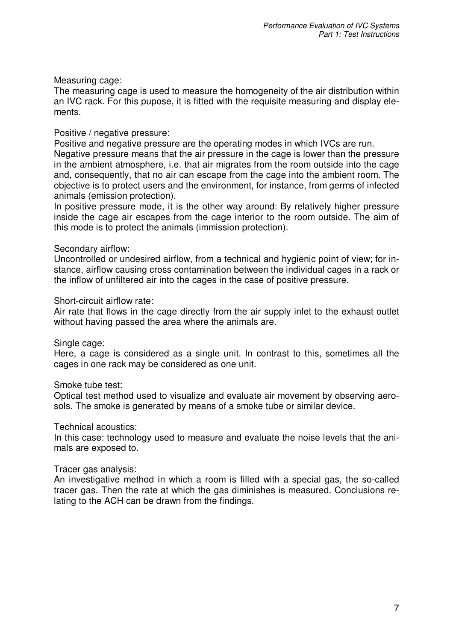### Measuring cage:

The measuring cage is used to measure the homogeneity of the air distribution within an IVC rack. For this pupose, it is fitted with the requisite measuring and display elements.

#### Positive / negative pressure:

Positive and negative pressure are the operating modes in which IVCs are run.

Negative pressure means that the air pressure in the cage is lower than the pressure in the ambient atmosphere, i.e. that air migrates from the room outside into the cage and, consequently, that no air can escape from the cage into the ambient room. The objective is to protect users and the environment, for instance, from germs of infected animals (emission protection).

In positive pressure mode, it is the other way around: By relatively higher pressure inside the cage air escapes from the cage interior to the room outside. The aim of this mode is to protect the animals (immission protection).

#### Secondary airflow:

Uncontrolled or undesired airflow, from a technical and hygienic point of view; for instance, airflow causing cross contamination between the individual cages in a rack or the inflow of unfiltered air into the cages in the case of positive pressure.

#### Short-circuit airflow rate:

Air rate that flows in the cage directly from the air supply inlet to the exhaust outlet without having passed the area where the animals are.

Single cage:

Here, a cage is considered as a single unit. In contrast to this, sometimes all the cages in one rack may be considered as one unit.

#### Smoke tube test:

Optical test method used to visualize and evaluate air movement by observing aerosols. The smoke is generated by means of a smoke tube or similar device.

#### Technical acoustics:

In this case: technology used to measure and evaluate the noise levels that the animals are exposed to.

#### Tracer gas analysis:

An investigative method in which a room is filled with a special gas, the so-called tracer gas. Then the rate at which the gas diminishes is measured. Conclusions relating to the ACH can be drawn from the findings.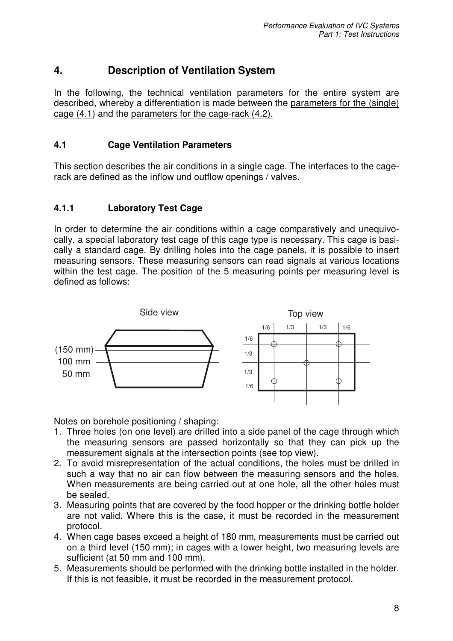# **4. Description of Ventilation System**

In the following, the technical ventilation parameters for the entire system are described, whereby a differentiation is made between the parameters for the (single) cage (4.1) and the parameters for the cage-rack (4.2).

## **4.1 Cage Ventilation Parameters**

This section describes the air conditions in a single cage. The interfaces to the cagerack are defined as the inflow und outflow openings / valves.

# **4.1.1 Laboratory Test Cage**

In order to determine the air conditions within a cage comparatively and unequivocally, a special laboratory test cage of this cage type is necessary. This cage is basically a standard cage. By drilling holes into the cage panels, it is possible to insert measuring sensors. These measuring sensors can read signals at various locations within the test cage. The position of the 5 measuring points per measuring level is defined as follows:



Notes on borehole positioning / shaping:

- 1. Three holes (on one level) are drilled into a side panel of the cage through which the measuring sensors are passed horizontally so that they can pick up the measurement signals at the intersection points (see top view).
- 2. To avoid misrepresentation of the actual conditions, the holes must be drilled in such a way that no air can flow between the measuring sensors and the holes. When measurements are being carried out at one hole, all the other holes must be sealed.
- 3. Measuring points that are covered by the food hopper or the drinking bottle holder are not valid. Where this is the case, it must be recorded in the measurement protocol.
- 4. When cage bases exceed a height of 180 mm, measurements must be carried out on a third level (150 mm); in cages with a lower height, two measuring levels are sufficient (at 50 mm and 100 mm).
- 5. Measurements should be performed with the drinking bottle installed in the holder. If this is not feasible, it must be recorded in the measurement protocol.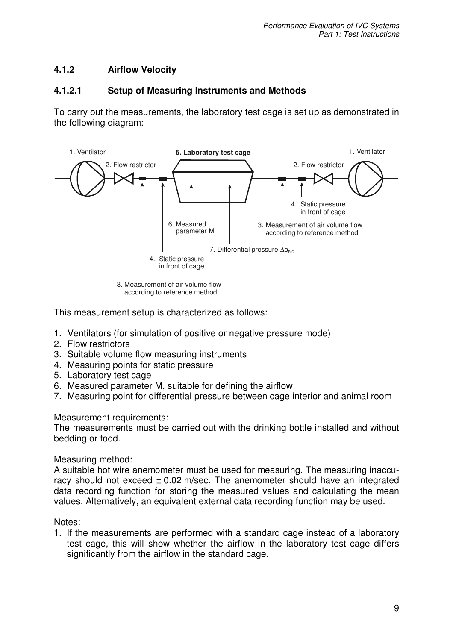# **4.1.2 Airflow Velocity**

## **4.1.2.1 Setup of Measuring Instruments and Methods**

To carry out the measurements, the laboratory test cage is set up as demonstrated in the following diagram:



according to reference method

This measurement setup is characterized as follows:

- 1. Ventilators (for simulation of positive or negative pressure mode)
- 2. Flow restrictors
- 3. Suitable volume flow measuring instruments
- 4. Measuring points for static pressure
- 5. Laboratory test cage
- 6. Measured parameter M, suitable for defining the airflow
- 7. Measuring point for differential pressure between cage interior and animal room

Measurement requirements:

The measurements must be carried out with the drinking bottle installed and without bedding or food.

Measuring method:

A suitable hot wire anemometer must be used for measuring. The measuring inaccuracy should not exceed  $\pm$  0.02 m/sec. The anemometer should have an integrated data recording function for storing the measured values and calculating the mean values. Alternatively, an equivalent external data recording function may be used.

Notes:

1. If the measurements are performed with a standard cage instead of a laboratory test cage, this will show whether the airflow in the laboratory test cage differs significantly from the airflow in the standard cage.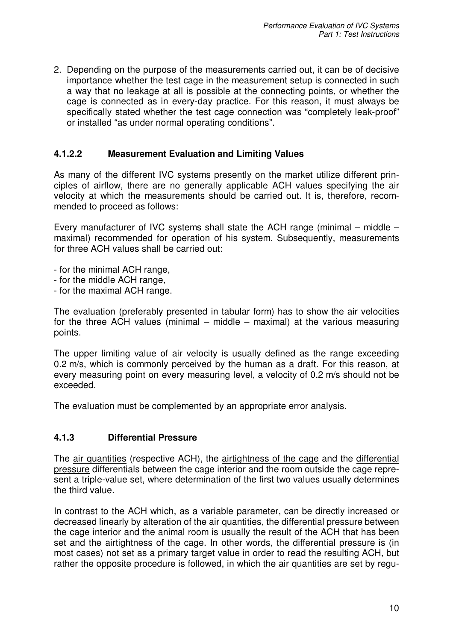2. Depending on the purpose of the measurements carried out, it can be of decisive importance whether the test cage in the measurement setup is connected in such a way that no leakage at all is possible at the connecting points, or whether the cage is connected as in every-day practice. For this reason, it must always be specifically stated whether the test cage connection was "completely leak-proof" or installed "as under normal operating conditions".

# **4.1.2.2 Measurement Evaluation and Limiting Values**

As many of the different IVC systems presently on the market utilize different principles of airflow, there are no generally applicable ACH values specifying the air velocity at which the measurements should be carried out. It is, therefore, recommended to proceed as follows:

Every manufacturer of IVC systems shall state the ACH range (minimal – middle – maximal) recommended for operation of his system. Subsequently, measurements for three ACH values shall be carried out:

- for the minimal ACH range,
- for the middle ACH range,
- for the maximal ACH range.

The evaluation (preferably presented in tabular form) has to show the air velocities for the three ACH values (minimal – middle – maximal) at the various measuring points.

The upper limiting value of air velocity is usually defined as the range exceeding 0.2 m/s, which is commonly perceived by the human as a draft. For this reason, at every measuring point on every measuring level, a velocity of 0.2 m/s should not be exceeded.

The evaluation must be complemented by an appropriate error analysis.

## **4.1.3 Differential Pressure**

The air quantities (respective ACH), the airtightness of the cage and the differential pressure differentials between the cage interior and the room outside the cage represent a triple-value set, where determination of the first two values usually determines the third value.

In contrast to the ACH which, as a variable parameter, can be directly increased or decreased linearly by alteration of the air quantities, the differential pressure between the cage interior and the animal room is usually the result of the ACH that has been set and the airtightness of the cage. In other words, the differential pressure is (in most cases) not set as a primary target value in order to read the resulting ACH, but rather the opposite procedure is followed, in which the air quantities are set by regu-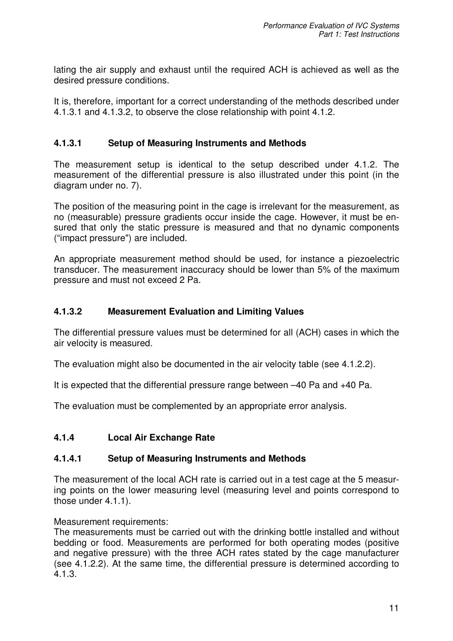lating the air supply and exhaust until the required ACH is achieved as well as the desired pressure conditions.

It is, therefore, important for a correct understanding of the methods described under 4.1.3.1 and 4.1.3.2, to observe the close relationship with point 4.1.2.

## **4.1.3.1 Setup of Measuring Instruments and Methods**

The measurement setup is identical to the setup described under 4.1.2. The measurement of the differential pressure is also illustrated under this point (in the diagram under no. 7).

The position of the measuring point in the cage is irrelevant for the measurement, as no (measurable) pressure gradients occur inside the cage. However, it must be ensured that only the static pressure is measured and that no dynamic components ("impact pressure") are included.

An appropriate measurement method should be used, for instance a piezoelectric transducer. The measurement inaccuracy should be lower than 5% of the maximum pressure and must not exceed 2 Pa.

## **4.1.3.2 Measurement Evaluation and Limiting Values**

The differential pressure values must be determined for all (ACH) cases in which the air velocity is measured.

The evaluation might also be documented in the air velocity table (see 4.1.2.2).

It is expected that the differential pressure range between –40 Pa and +40 Pa.

The evaluation must be complemented by an appropriate error analysis.

## **4.1.4 Local Air Exchange Rate**

## **4.1.4.1 Setup of Measuring Instruments and Methods**

The measurement of the local ACH rate is carried out in a test cage at the 5 measuring points on the lower measuring level (measuring level and points correspond to those under 4.1.1).

Measurement requirements:

The measurements must be carried out with the drinking bottle installed and without bedding or food. Measurements are performed for both operating modes (positive and negative pressure) with the three ACH rates stated by the cage manufacturer (see 4.1.2.2). At the same time, the differential pressure is determined according to 4.1.3.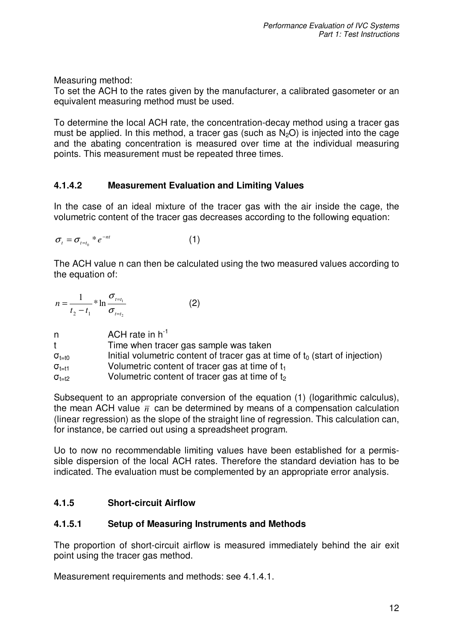Measuring method:

To set the ACH to the rates given by the manufacturer, a calibrated gasometer or an equivalent measuring method must be used.

To determine the local ACH rate, the concentration-decay method using a tracer gas must be applied. In this method, a tracer gas (such as  $N<sub>2</sub>O$ ) is injected into the cage and the abating concentration is measured over time at the individual measuring points. This measurement must be repeated three times.

# **4.1.4.2 Measurement Evaluation and Limiting Values**

In the case of an ideal mixture of the tracer gas with the air inside the cage, the volumetric content of the tracer gas decreases according to the following equation:

$$
\sigma_t = \sigma_{t=t_0} * e^{-nt} \tag{1}
$$

The ACH value n can then be calculated using the two measured values according to the equation of:

| $n = \frac{1}{\sqrt{1 - t_1}}$ |  | (2) |
|--------------------------------|--|-----|
| $t_2 - t_1$ $\sigma_{t=t_2}$   |  |     |

| n.                            | ACH rate in $h^{-1}$                                                           |
|-------------------------------|--------------------------------------------------------------------------------|
| t                             | Time when tracer gas sample was taken                                          |
| $\sigma_{\text{t}=\text{t}0}$ | Initial volumetric content of tracer gas at time of $t_0$ (start of injection) |
| $\sigma_{t=11}$               | Volumetric content of tracer gas at time of $t_1$                              |
| $\sigma_{t=t2}$               | Volumetric content of tracer gas at time of t <sub>2</sub>                     |

Subsequent to an appropriate conversion of the equation (1) (logarithmic calculus), the mean ACH value  $\bar{n}$  can be determined by means of a compensation calculation (linear regression) as the slope of the straight line of regression. This calculation can, for instance, be carried out using a spreadsheet program.

Uo to now no recommendable limiting values have been established for a permissible dispersion of the local ACH rates. Therefore the standard deviation has to be indicated. The evaluation must be complemented by an appropriate error analysis.

# **4.1.5 Short-circuit Airflow**

## **4.1.5.1 Setup of Measuring Instruments and Methods**

The proportion of short-circuit airflow is measured immediately behind the air exit point using the tracer gas method.

Measurement requirements and methods: see 4.1.4.1.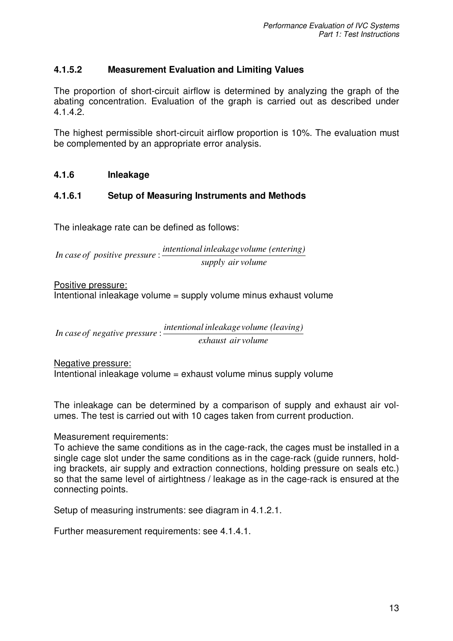# **4.1.5.2 Measurement Evaluation and Limiting Values**

The proportion of short-circuit airflow is determined by analyzing the graph of the abating concentration. Evaluation of the graph is carried out as described under 4.1.4.2.

The highest permissible short-circuit airflow proportion is 10%. The evaluation must be complemented by an appropriate error analysis.

## **4.1.6 Inleakage**

# **4.1.6.1 Setup of Measuring Instruments and Methods**

The inleakage rate can be defined as follows:

*supply air volume intentional inleakage volume (entering) In case of positive pressure* :

Positive pressure: Intentional inleakage volume = supply volume minus exhaust volume

*exhaust air volume intentional inleakage volume (leaving) In caseof negative pressure* :

Negative pressure: Intentional inleakage volume = exhaust volume minus supply volume

The inleakage can be determined by a comparison of supply and exhaust air volumes. The test is carried out with 10 cages taken from current production.

## Measurement requirements:

To achieve the same conditions as in the cage-rack, the cages must be installed in a single cage slot under the same conditions as in the cage-rack (guide runners, holding brackets, air supply and extraction connections, holding pressure on seals etc.) so that the same level of airtightness / leakage as in the cage-rack is ensured at the connecting points.

Setup of measuring instruments: see diagram in 4.1.2.1.

Further measurement requirements: see 4.1.4.1.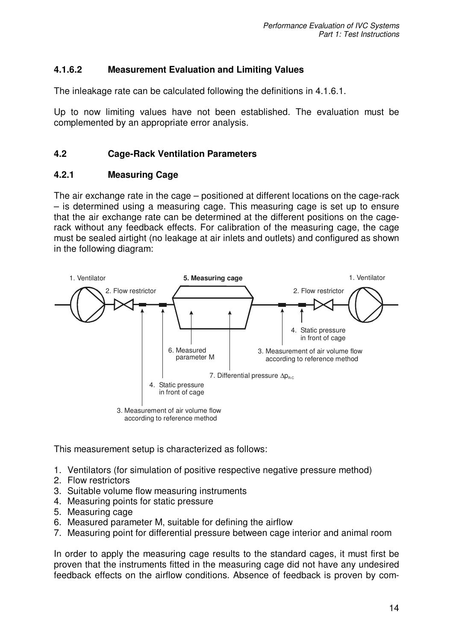# **4.1.6.2 Measurement Evaluation and Limiting Values**

The inleakage rate can be calculated following the definitions in 4.1.6.1.

Up to now limiting values have not been established. The evaluation must be complemented by an appropriate error analysis.

## **4.2 Cage-Rack Ventilation Parameters**

## **4.2.1 Measuring Cage**

The air exchange rate in the cage – positioned at different locations on the cage-rack – is determined using a measuring cage. This measuring cage is set up to ensure that the air exchange rate can be determined at the different positions on the cagerack without any feedback effects. For calibration of the measuring cage, the cage must be sealed airtight (no leakage at air inlets and outlets) and configured as shown in the following diagram:



This measurement setup is characterized as follows:

- 1. Ventilators (for simulation of positive respective negative pressure method)
- 2. Flow restrictors
- 3. Suitable volume flow measuring instruments
- 4. Measuring points for static pressure
- 5. Measuring cage
- 6. Measured parameter M, suitable for defining the airflow
- 7. Measuring point for differential pressure between cage interior and animal room

In order to apply the measuring cage results to the standard cages, it must first be proven that the instruments fitted in the measuring cage did not have any undesired feedback effects on the airflow conditions. Absence of feedback is proven by com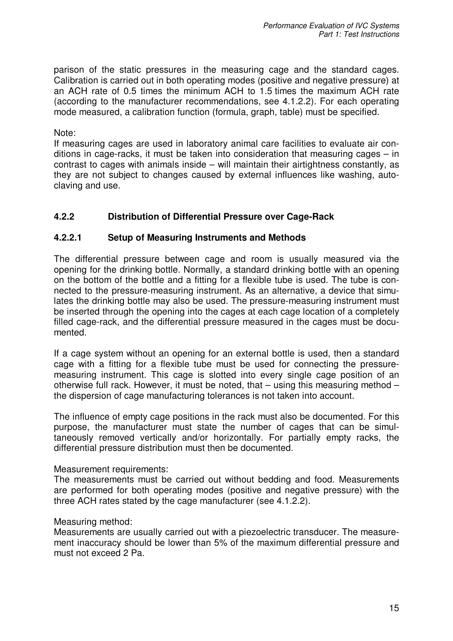parison of the static pressures in the measuring cage and the standard cages. Calibration is carried out in both operating modes (positive and negative pressure) at an ACH rate of 0.5 times the minimum ACH to 1.5 times the maximum ACH rate (according to the manufacturer recommendations, see 4.1.2.2). For each operating mode measured, a calibration function (formula, graph, table) must be specified.

### Note:

If measuring cages are used in laboratory animal care facilities to evaluate air conditions in cage-racks, it must be taken into consideration that measuring cages – in contrast to cages with animals inside – will maintain their airtightness constantly, as they are not subject to changes caused by external influences like washing, autoclaving and use.

## **4.2.2 Distribution of Differential Pressure over Cage-Rack**

### **4.2.2.1 Setup of Measuring Instruments and Methods**

The differential pressure between cage and room is usually measured via the opening for the drinking bottle. Normally, a standard drinking bottle with an opening on the bottom of the bottle and a fitting for a flexible tube is used. The tube is connected to the pressure-measuring instrument. As an alternative, a device that simulates the drinking bottle may also be used. The pressure-measuring instrument must be inserted through the opening into the cages at each cage location of a completely filled cage-rack, and the differential pressure measured in the cages must be documented.

If a cage system without an opening for an external bottle is used, then a standard cage with a fitting for a flexible tube must be used for connecting the pressuremeasuring instrument. This cage is slotted into every single cage position of an otherwise full rack. However, it must be noted, that – using this measuring method – the dispersion of cage manufacturing tolerances is not taken into account.

The influence of empty cage positions in the rack must also be documented. For this purpose, the manufacturer must state the number of cages that can be simultaneously removed vertically and/or horizontally. For partially empty racks, the differential pressure distribution must then be documented.

### Measurement requirements:

The measurements must be carried out without bedding and food. Measurements are performed for both operating modes (positive and negative pressure) with the three ACH rates stated by the cage manufacturer (see 4.1.2.2).

#### Measuring method:

Measurements are usually carried out with a piezoelectric transducer. The measurement inaccuracy should be lower than 5% of the maximum differential pressure and must not exceed 2 Pa.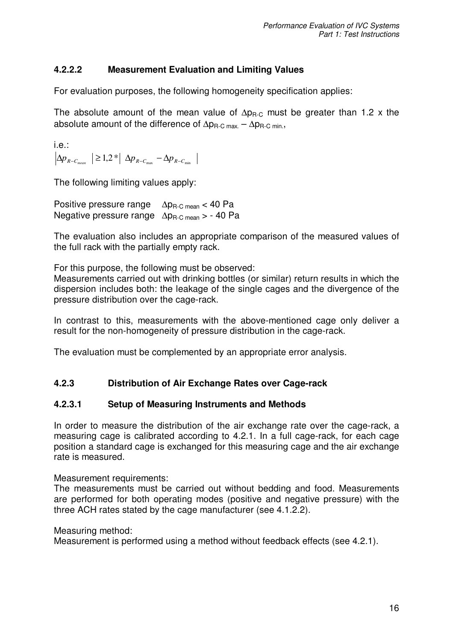# **4.2.2.2 Measurement Evaluation and Limiting Values**

For evaluation purposes, the following homogeneity specification applies:

The absolute amount of the mean value of  $\Delta p_{R,C}$  must be greater than 1.2 x the absolute amount of the difference of  $\Delta p_{R-C max.} - \Delta p_{R-C min.}$ ,

i.e.:  $\Delta p_{\scriptscriptstyle R-C_{\scriptscriptstyle mean}} \geq 1.2 * | \Delta p_{\scriptscriptstyle R-C_{\scriptscriptstyle \rm max}} - \Delta p_{\scriptscriptstyle R-C_{\scriptscriptstyle \rm min}}$ 

The following limiting values apply:

Positive pressure range  $\Delta p_{R-C \text{ mean}} < 40 \text{ Pa}$ Negative pressure range  $\Delta p_{\text{B-C mean}} > -40$  Pa

The evaluation also includes an appropriate comparison of the measured values of the full rack with the partially empty rack.

For this purpose, the following must be observed:

Measurements carried out with drinking bottles (or similar) return results in which the dispersion includes both: the leakage of the single cages and the divergence of the pressure distribution over the cage-rack.

In contrast to this, measurements with the above-mentioned cage only deliver a result for the non-homogeneity of pressure distribution in the cage-rack.

The evaluation must be complemented by an appropriate error analysis.

# **4.2.3 Distribution of Air Exchange Rates over Cage-rack**

## **4.2.3.1 Setup of Measuring Instruments and Methods**

In order to measure the distribution of the air exchange rate over the cage-rack, a measuring cage is calibrated according to 4.2.1. In a full cage-rack, for each cage position a standard cage is exchanged for this measuring cage and the air exchange rate is measured.

Measurement requirements:

The measurements must be carried out without bedding and food. Measurements are performed for both operating modes (positive and negative pressure) with the three ACH rates stated by the cage manufacturer (see 4.1.2.2).

Measuring method:

Measurement is performed using a method without feedback effects (see 4.2.1).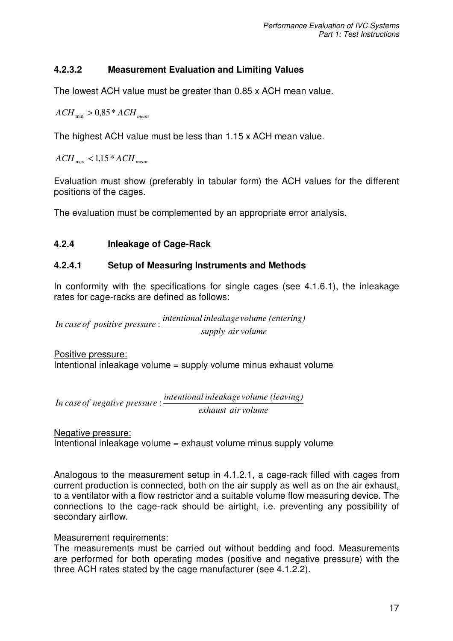# **4.2.3.2 Measurement Evaluation and Limiting Values**

The lowest ACH value must be greater than 0.85 x ACH mean value.

 $ACH_{min} > 0.85 * ACH_{mean}$ 

The highest ACH value must be less than 1.15 x ACH mean value.

 $ACH_{\text{max}} < 1,15*ACH_{\text{mean}}$ 

Evaluation must show (preferably in tabular form) the ACH values for the different positions of the cages.

The evaluation must be complemented by an appropriate error analysis.

## **4.2.4 Inleakage of Cage-Rack**

## **4.2.4.1 Setup of Measuring Instruments and Methods**

In conformity with the specifications for single cages (see 4.1.6.1), the inleakage rates for cage-racks are defined as follows:

*supply air volume intentional inleakage volume (entering) In case of positive pressure* :

Positive pressure: Intentional inleakage volume = supply volume minus exhaust volume

*exhaust air volume intentional inleakage volume (leaving) In caseof negative pressure* :

Negative pressure: Intentional inleakage volume = exhaust volume minus supply volume

Analogous to the measurement setup in 4.1.2.1, a cage-rack filled with cages from current production is connected, both on the air supply as well as on the air exhaust, to a ventilator with a flow restrictor and a suitable volume flow measuring device. The connections to the cage-rack should be airtight, i.e. preventing any possibility of secondary airflow.

Measurement requirements:

The measurements must be carried out without bedding and food. Measurements are performed for both operating modes (positive and negative pressure) with the three ACH rates stated by the cage manufacturer (see 4.1.2.2).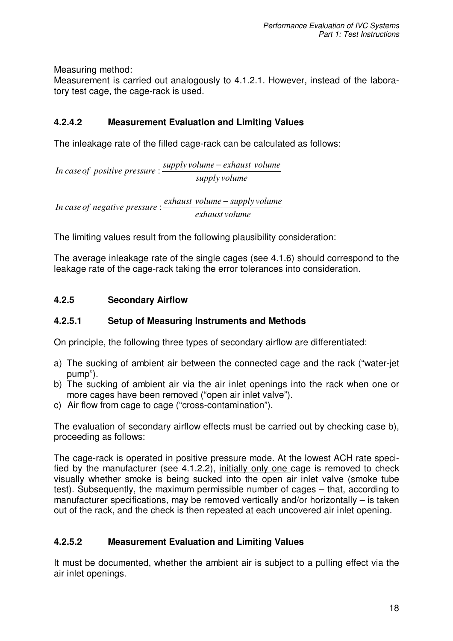Measuring method:

Measurement is carried out analogously to 4.1.2.1. However, instead of the laboratory test cage, the cage-rack is used.

# **4.2.4.2 Measurement Evaluation and Limiting Values**

The inleakage rate of the filled cage-rack can be calculated as follows:

*supply volume supply volume exhaust volume In caseof positive pressure* − :

*exhaust volume exhaust volume supply volume In case of negative pressure* − :

The limiting values result from the following plausibility consideration:

The average inleakage rate of the single cages (see 4.1.6) should correspond to the leakage rate of the cage-rack taking the error tolerances into consideration.

# **4.2.5 Secondary Airflow**

## **4.2.5.1 Setup of Measuring Instruments and Methods**

On principle, the following three types of secondary airflow are differentiated:

- a) The sucking of ambient air between the connected cage and the rack ("water-jet pump").
- b) The sucking of ambient air via the air inlet openings into the rack when one or more cages have been removed ("open air inlet valve").
- c) Air flow from cage to cage ("cross-contamination").

The evaluation of secondary airflow effects must be carried out by checking case b), proceeding as follows:

The cage-rack is operated in positive pressure mode. At the lowest ACH rate specified by the manufacturer (see 4.1.2.2), initially only one cage is removed to check visually whether smoke is being sucked into the open air inlet valve (smoke tube test). Subsequently, the maximum permissible number of cages – that, according to manufacturer specifications, may be removed vertically and/or horizontally – is taken out of the rack, and the check is then repeated at each uncovered air inlet opening.

## **4.2.5.2 Measurement Evaluation and Limiting Values**

It must be documented, whether the ambient air is subject to a pulling effect via the air inlet openings.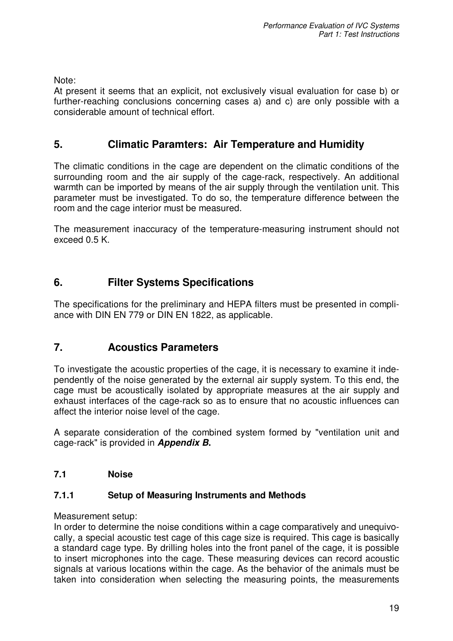Note:

At present it seems that an explicit, not exclusively visual evaluation for case b) or further-reaching conclusions concerning cases a) and c) are only possible with a considerable amount of technical effort.

# **5. Climatic Paramters: Air Temperature and Humidity**

The climatic conditions in the cage are dependent on the climatic conditions of the surrounding room and the air supply of the cage-rack, respectively. An additional warmth can be imported by means of the air supply through the ventilation unit. This parameter must be investigated. To do so, the temperature difference between the room and the cage interior must be measured.

The measurement inaccuracy of the temperature-measuring instrument should not exceed 0.5 K.

# **6. Filter Systems Specifications**

The specifications for the preliminary and HEPA filters must be presented in compliance with DIN EN 779 or DIN EN 1822, as applicable.

# **7. Acoustics Parameters**

To investigate the acoustic properties of the cage, it is necessary to examine it independently of the noise generated by the external air supply system. To this end, the cage must be acoustically isolated by appropriate measures at the air supply and exhaust interfaces of the cage-rack so as to ensure that no acoustic influences can affect the interior noise level of the cage.

A separate consideration of the combined system formed by "ventilation unit and cage-rack" is provided in *Appendix B***.**

# **7.1 Noise**

## **7.1.1 Setup of Measuring Instruments and Methods**

Measurement setup:

In order to determine the noise conditions within a cage comparatively and unequivocally, a special acoustic test cage of this cage size is required. This cage is basically a standard cage type. By drilling holes into the front panel of the cage, it is possible to insert microphones into the cage. These measuring devices can record acoustic signals at various locations within the cage. As the behavior of the animals must be taken into consideration when selecting the measuring points, the measurements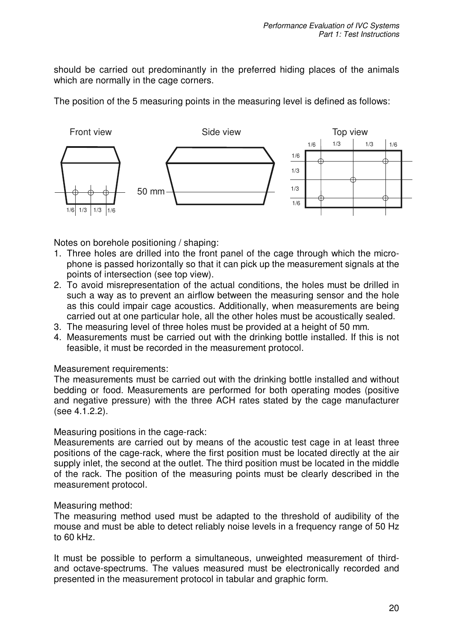should be carried out predominantly in the preferred hiding places of the animals which are normally in the cage corners.

The position of the 5 measuring points in the measuring level is defined as follows:



Notes on borehole positioning / shaping:

- 1. Three holes are drilled into the front panel of the cage through which the microphone is passed horizontally so that it can pick up the measurement signals at the points of intersection (see top view).
- 2. To avoid misrepresentation of the actual conditions, the holes must be drilled in such a way as to prevent an airflow between the measuring sensor and the hole as this could impair cage acoustics. Additionally, when measurements are being carried out at one particular hole, all the other holes must be acoustically sealed.
- 3. The measuring level of three holes must be provided at a height of 50 mm.
- 4. Measurements must be carried out with the drinking bottle installed. If this is not feasible, it must be recorded in the measurement protocol.

### Measurement requirements:

The measurements must be carried out with the drinking bottle installed and without bedding or food. Measurements are performed for both operating modes (positive and negative pressure) with the three ACH rates stated by the cage manufacturer (see 4.1.2.2).

### Measuring positions in the cage-rack:

Measurements are carried out by means of the acoustic test cage in at least three positions of the cage-rack, where the first position must be located directly at the air supply inlet, the second at the outlet. The third position must be located in the middle of the rack. The position of the measuring points must be clearly described in the measurement protocol.

### Measuring method:

The measuring method used must be adapted to the threshold of audibility of the mouse and must be able to detect reliably noise levels in a frequency range of 50 Hz to 60 kHz.

It must be possible to perform a simultaneous, unweighted measurement of thirdand octave-spectrums. The values measured must be electronically recorded and presented in the measurement protocol in tabular and graphic form.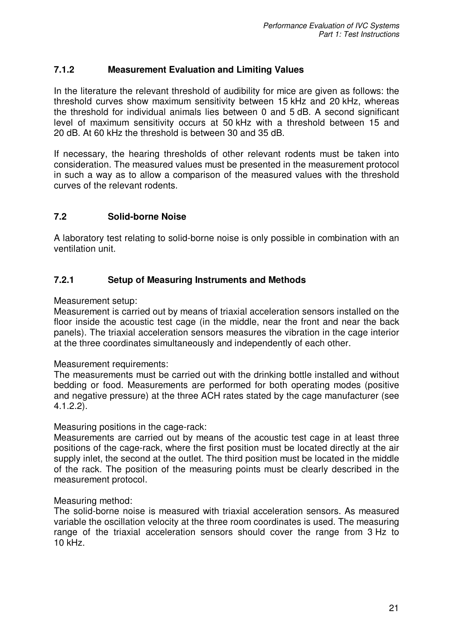## **7.1.2 Measurement Evaluation and Limiting Values**

In the literature the relevant threshold of audibility for mice are given as follows: the threshold curves show maximum sensitivity between 15 kHz and 20 kHz, whereas the threshold for individual animals lies between 0 and 5 dB. A second significant level of maximum sensitivity occurs at 50 kHz with a threshold between 15 and 20 dB. At 60 kHz the threshold is between 30 and 35 dB.

If necessary, the hearing thresholds of other relevant rodents must be taken into consideration. The measured values must be presented in the measurement protocol in such a way as to allow a comparison of the measured values with the threshold curves of the relevant rodents.

## **7.2 Solid-borne Noise**

A laboratory test relating to solid-borne noise is only possible in combination with an ventilation unit.

## **7.2.1 Setup of Measuring Instruments and Methods**

Measurement setup:

Measurement is carried out by means of triaxial acceleration sensors installed on the floor inside the acoustic test cage (in the middle, near the front and near the back panels). The triaxial acceleration sensors measures the vibration in the cage interior at the three coordinates simultaneously and independently of each other.

### Measurement requirements:

The measurements must be carried out with the drinking bottle installed and without bedding or food. Measurements are performed for both operating modes (positive and negative pressure) at the three ACH rates stated by the cage manufacturer (see 4.1.2.2).

### Measuring positions in the cage-rack:

Measurements are carried out by means of the acoustic test cage in at least three positions of the cage-rack, where the first position must be located directly at the air supply inlet, the second at the outlet. The third position must be located in the middle of the rack. The position of the measuring points must be clearly described in the measurement protocol.

### Measuring method:

The solid-borne noise is measured with triaxial acceleration sensors. As measured variable the oscillation velocity at the three room coordinates is used. The measuring range of the triaxial acceleration sensors should cover the range from 3 Hz to 10 kHz.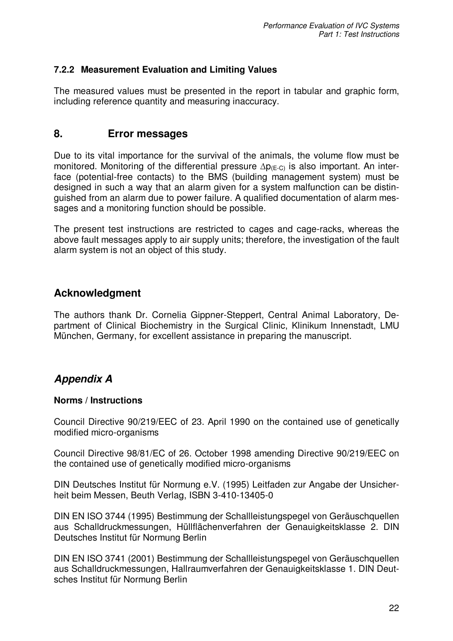## **7.2.2 Measurement Evaluation and Limiting Values**

The measured values must be presented in the report in tabular and graphic form, including reference quantity and measuring inaccuracy.

# **8. Error messages**

Due to its vital importance for the survival of the animals, the volume flow must be monitored. Monitoring of the differential pressure  $\Delta p_{(E-C)}$  is also important. An interface (potential-free contacts) to the BMS (building management system) must be designed in such a way that an alarm given for a system malfunction can be distinguished from an alarm due to power failure. A qualified documentation of alarm messages and a monitoring function should be possible.

The present test instructions are restricted to cages and cage-racks, whereas the above fault messages apply to air supply units; therefore, the investigation of the fault alarm system is not an object of this study.

# **Acknowledgment**

The authors thank Dr. Cornelia Gippner-Steppert, Central Animal Laboratory, Department of Clinical Biochemistry in the Surgical Clinic, Klinikum Innenstadt, LMU München, Germany, for excellent assistance in preparing the manuscript.

# *Appendix A*

## **Norms / Instructions**

Council Directive 90/219/EEC of 23. April 1990 on the contained use of genetically modified micro-organisms

Council Directive 98/81/EC of 26. October 1998 amending Directive 90/219/EEC on the contained use of genetically modified micro-organisms

DIN Deutsches Institut für Normung e.V. (1995) Leitfaden zur Angabe der Unsicherheit beim Messen, Beuth Verlag, ISBN 3-410-13405-0

DIN EN ISO 3744 (1995) Bestimmung der Schallleistungspegel von Geräuschquellen aus Schalldruckmessungen, Hüllflächenverfahren der Genauigkeitsklasse 2. DIN Deutsches Institut für Normung Berlin

DIN EN ISO 3741 (2001) Bestimmung der Schallleistungspegel von Geräuschquellen aus Schalldruckmessungen, Hallraumverfahren der Genauigkeitsklasse 1. DIN Deutsches Institut für Normung Berlin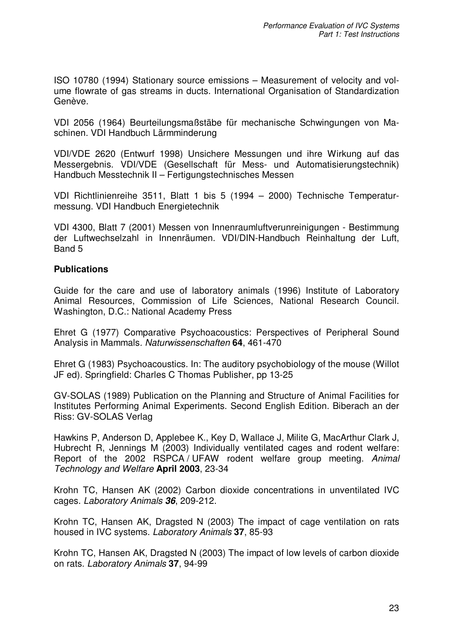ISO 10780 (1994) Stationary source emissions – Measurement of velocity and volume flowrate of gas streams in ducts. International Organisation of Standardization Genève.

VDI 2056 (1964) Beurteilungsmaßstäbe für mechanische Schwingungen von Maschinen. VDI Handbuch Lärmminderung

VDI/VDE 2620 (Entwurf 1998) Unsichere Messungen und ihre Wirkung auf das Messergebnis. VDI/VDE (Gesellschaft für Mess- und Automatisierungstechnik) Handbuch Messtechnik II – Fertigungstechnisches Messen

VDI Richtlinienreihe 3511, Blatt 1 bis 5 (1994 – 2000) Technische Temperaturmessung. VDI Handbuch Energietechnik

VDI 4300, Blatt 7 (2001) Messen von Innenraumluftverunreinigungen - Bestimmung der Luftwechselzahl in Innenräumen. VDI/DIN-Handbuch Reinhaltung der Luft, Band 5

### **Publications**

Guide for the care and use of laboratory animals (1996) Institute of Laboratory Animal Resources, Commission of Life Sciences, National Research Council. Washington, D.C.: National Academy Press

Ehret G (1977) Comparative Psychoacoustics: Perspectives of Peripheral Sound Analysis in Mammals*. Naturwissenschaften* **64**, 461-470

Ehret G (1983) Psychoacoustics. In: The auditory psychobiology of the mouse (Willot JF ed). Springfield: Charles C Thomas Publisher, pp 13-25

GV-SOLAS (1989) Publication on the Planning and Structure of Animal Facilities for Institutes Performing Animal Experiments. Second English Edition. Biberach an der Riss: GV-SOLAS Verlag

Hawkins P, Anderson D, Applebee K., Key D, Wallace J, Milite G, MacArthur Clark J, Hubrecht R, Jennings M (2003) Individually ventilated cages and rodent welfare: Report of the 2002 RSPCA / UFAW rodent welfare group meeting. *Animal Technology and Welfare* **April 2003**, 23-34

Krohn TC, Hansen AK (2002) Carbon dioxide concentrations in unventilated IVC cages. *Laboratory Animals 36*, 209-212.

Krohn TC, Hansen AK, Dragsted N (2003) The impact of cage ventilation on rats housed in IVC systems. *Laboratory Animals* **37**, 85-93

Krohn TC, Hansen AK, Dragsted N (2003) The impact of low levels of carbon dioxide on rats. *Laboratory Animals* **37**, 94-99